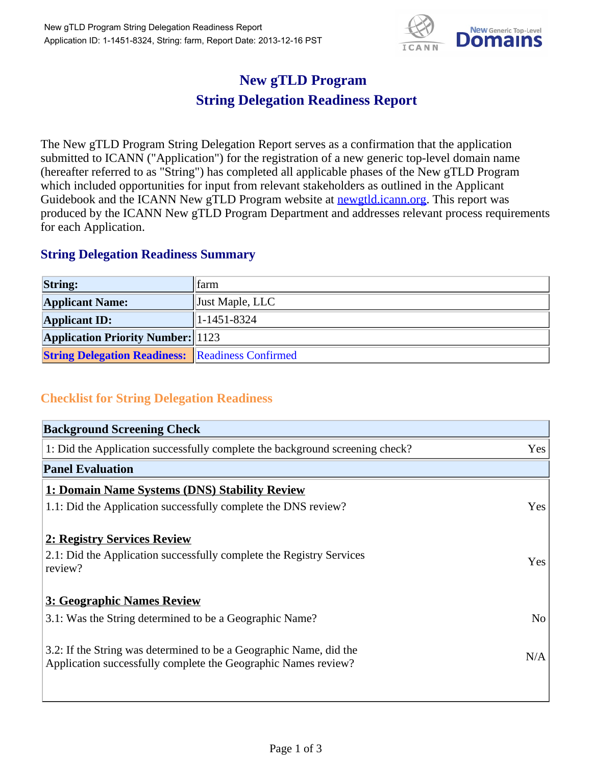

## **New gTLD Program String Delegation Readiness Report**

The New gTLD Program String Delegation Report serves as a confirmation that the application submitted to ICANN ("Application") for the registration of a new generic top-level domain name (hereafter referred to as "String") has completed all applicable phases of the New gTLD Program which included opportunities for input from relevant stakeholders as outlined in the Applicant Guidebook and the ICANN New gTLD Program website at **newgtld.jcann.org**. This report was produced by the ICANN New gTLD Program Department and addresses relevant process requirements for each Application.

## **String Delegation Readiness Summary**

| <b>String:</b>                                          | <b>tarm</b>         |
|---------------------------------------------------------|---------------------|
| <b>Applicant Name:</b>                                  | Just Maple, LLC     |
| <b>Applicant ID:</b>                                    | $ 1 - 1451 - 8324 $ |
| <b>Application Priority Number:</b> 1123                |                     |
| <b>String Delegation Readiness:</b> Readiness Confirmed |                     |

## **Checklist for String Delegation Readiness**

| <b>Background Screening Check</b>                                                                                                    |                |
|--------------------------------------------------------------------------------------------------------------------------------------|----------------|
| 1: Did the Application successfully complete the background screening check?                                                         | Yes            |
| <b>Panel Evaluation</b>                                                                                                              |                |
| 1: Domain Name Systems (DNS) Stability Review                                                                                        |                |
| 1.1: Did the Application successfully complete the DNS review?                                                                       | Yes            |
| 2: Registry Services Review<br>2.1: Did the Application successfully complete the Registry Services<br>review?                       | Yes            |
| 3: Geographic Names Review                                                                                                           |                |
| 3.1: Was the String determined to be a Geographic Name?                                                                              | N <sub>o</sub> |
| 3.2: If the String was determined to be a Geographic Name, did the<br>Application successfully complete the Geographic Names review? | N/A            |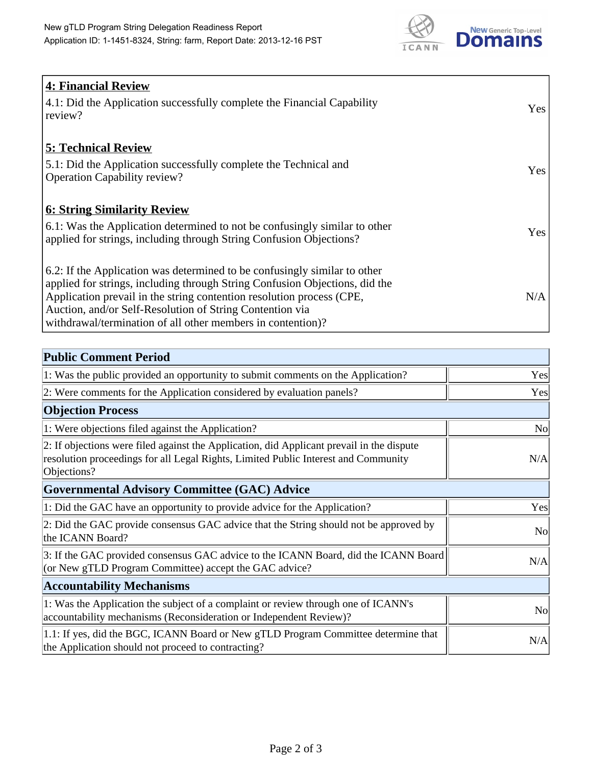

| <b>4: Financial Review</b>                                                  |     |
|-----------------------------------------------------------------------------|-----|
| 4.1: Did the Application successfully complete the Financial Capability     | Yes |
| review?                                                                     |     |
|                                                                             |     |
| <b>5: Technical Review</b>                                                  |     |
| 5.1: Did the Application successfully complete the Technical and            |     |
| <b>Operation Capability review?</b>                                         | Yes |
|                                                                             |     |
| <b>6: String Similarity Review</b>                                          |     |
| 6.1: Was the Application determined to not be confusingly similar to other  | Yes |
| applied for strings, including through String Confusion Objections?         |     |
|                                                                             |     |
| 6.2: If the Application was determined to be confusingly similar to other   |     |
| applied for strings, including through String Confusion Objections, did the |     |
| Application prevail in the string contention resolution process (CPE,       | N/A |
| Auction, and/or Self-Resolution of String Contention via                    |     |
| withdrawal/termination of all other members in contention)?                 |     |

| <b>Public Comment Period</b>                                                                                                                                                                   |                |
|------------------------------------------------------------------------------------------------------------------------------------------------------------------------------------------------|----------------|
| 1: Was the public provided an opportunity to submit comments on the Application?                                                                                                               | Yes            |
| 2: Were comments for the Application considered by evaluation panels?                                                                                                                          | Yes            |
| <b>Objection Process</b>                                                                                                                                                                       |                |
| 1: Were objections filed against the Application?                                                                                                                                              | N <sub>0</sub> |
| 2: If objections were filed against the Application, did Applicant prevail in the dispute<br>resolution proceedings for all Legal Rights, Limited Public Interest and Community<br>Objections? | N/A            |
| <b>Governmental Advisory Committee (GAC) Advice</b>                                                                                                                                            |                |
| 1: Did the GAC have an opportunity to provide advice for the Application?                                                                                                                      | Yes            |
| 2: Did the GAC provide consensus GAC advice that the String should not be approved by<br>the ICANN Board?                                                                                      | <b>No</b>      |
| 3: If the GAC provided consensus GAC advice to the ICANN Board, did the ICANN Board<br>(or New gTLD Program Committee) accept the GAC advice?                                                  | N/A            |
| <b>Accountability Mechanisms</b>                                                                                                                                                               |                |
| 1: Was the Application the subject of a complaint or review through one of ICANN's<br>accountability mechanisms (Reconsideration or Independent Review)?                                       | <b>No</b>      |
| 1.1: If yes, did the BGC, ICANN Board or New gTLD Program Committee determine that<br>the Application should not proceed to contracting?                                                       | N/A            |